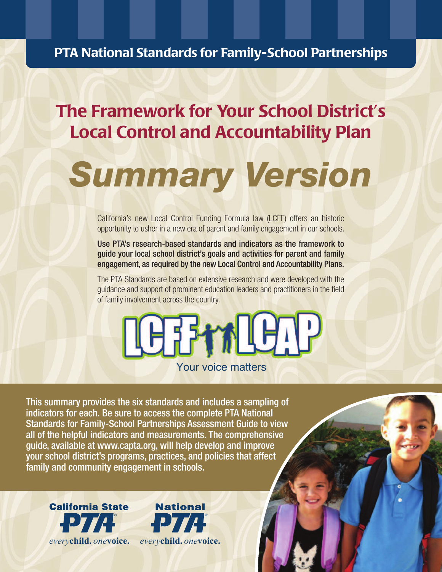# **PTA National Standards for Family-School Partnerships**

# **The Framework for Your School District's Local Control and Accountability Plan**

# *Summary Version*

California's new Local Control Funding Formula law (LCFF) offers an historic opportunity to usher in a new era of parent and family engagement in our schools.

Use PTA's research-based standards and indicators as the framework to guide your local school district's goals and activities for parent and family engagement, as required by the new Local Control and Accountability Plans.

The PTA Standards are based on extensive research and were developed with the guidance and support of prominent education leaders and practitioners in the field of family involvement across the country.



This summary provides the six standards and includes a sampling of indicators for each. Be sure to access the complete PTA National Standards for Family-School Partnerships Assessment Guide to view all of the helpful indicators and measurements. The comprehensive guide, available at www.capta.org, will help develop and improve your school district's programs, practices, and policies that affect family and community engagement in schools.



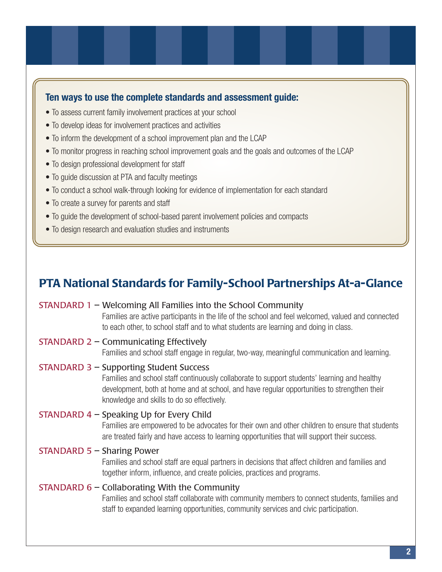#### **Ten ways to use the complete standards and assessment guide:**

- To assess current family involvement practices at your school
- To develop ideas for involvement practices and activities
- To inform the development of a school improvement plan and the LCAP
- To monitor progress in reaching school improvement goals and the goals and outcomes of the LCAP
- To design professional development for staff
- To guide discussion at PTA and faculty meetings
- To conduct a school walk-through looking for evidence of implementation for each standard
- To create a survey for parents and staff
- To guide the development of school-based parent involvement policies and compacts
- To design research and evaluation studies and instruments

# **PTA National Standards for Family-School Partnerships At-a-Glance**

#### STANDARD 1 – Welcoming All Families into the School Community

Families are active participants in the life of the school and feel welcomed, valued and connected to each other, to school staff and to what students are learning and doing in class.

#### STANDARD 2 – Communicating Effectively

Families and school staff engage in regular, two-way, meaningful communication and learning.

#### STANDARD 3 – Supporting Student Success

Families and school staff continuously collaborate to support students' learning and healthy development, both at home and at school, and have regular opportunities to strengthen their knowledge and skills to do so effectively.

#### STANDARD 4 – Speaking Up for Every Child

Families are empowered to be advocates for their own and other children to ensure that students are treated fairly and have access to learning opportunities that will support their success.

#### STANDARD 5 – Sharing Power

Families and school staff are equal partners in decisions that affect children and families and together inform, influence, and create policies, practices and programs.

#### STANDARD 6 – Collaborating With the Community

Families and school staff collaborate with community members to connect students, families and staff to expanded learning opportunities, community services and civic participation.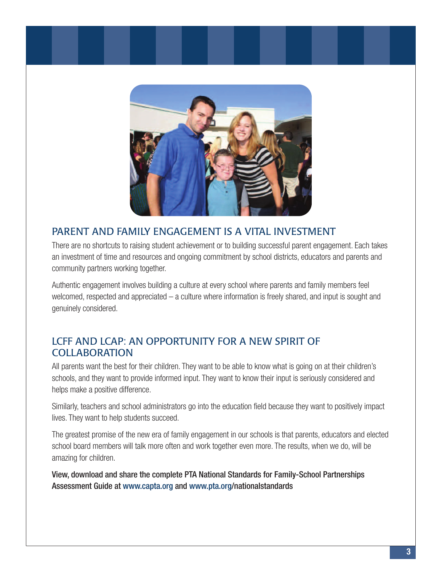

### PARENT AND FAMILY ENGAGEMENT IS A VITAL INVESTMENT

There are no shortcuts to raising student achievement or to building successful parent engagement. Each takes an investment of time and resources and ongoing commitment by school districts, educators and parents and community partners working together.

Authentic engagement involves building a culture at every school where parents and family members feel welcomed, respected and appreciated – a culture where information is freely shared, and input is sought and genuinely considered.

### LCFF AND LCAP: AN OPPORTUNITY FOR A NEW SPIRIT OF **COLLABORATION**

All parents want the best for their children. They want to be able to know what is going on at their children's schools, and they want to provide informed input. They want to know their input is seriously considered and helps make a positive difference.

Similarly, teachers and school administrators go into the education field because they want to positively impact lives. They want to help students succeed.

The greatest promise of the new era of family engagement in our schools is that parents, educators and elected school board members will talk more often and work together even more. The results, when we do, will be amazing for children.

View, download and share the complete PTA National Standards for Family-School Partnerships Assessment Guide at www.capta.org and www.pta.org/nationalstandards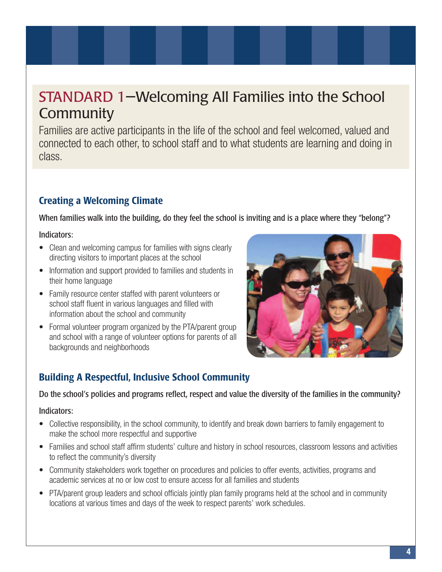# STANDARD 1—Welcoming All Families into the School **Community**

Families are active participants in the life of the school and feel welcomed, valued and connected to each other, to school staff and to what students are learning and doing in class.

## **Creating a Welcoming Climate**

When families walk into the building, do they feel the school is inviting and is a place where they "belong"?

Indicators:

- Clean and welcoming campus for families with signs clearly directing visitors to important places at the school
- Information and support provided to families and students in their home language
- Family resource center staffed with parent volunteers or school staff fluent in various languages and filled with information about the school and community
- Formal volunteer program organized by the PTA/parent group and school with a range of volunteer options for parents of all backgrounds and neighborhoods



# **Building A Respectful, Inclusive School Community**

Do the school's policies and programs reflect, respect and value the diversity of the families in the community?

- Collective responsibility, in the school community, to identify and break down barriers to family engagement to make the school more respectful and supportive
- Families and school staff affirm students' culture and history in school resources, classroom lessons and activities to reflect the community's diversity
- Community stakeholders work together on procedures and policies to offer events, activities, programs and academic services at no or low cost to ensure access for all families and students
- PTA/parent group leaders and school officials jointly plan family programs held at the school and in community locations at various times and days of the week to respect parents' work schedules.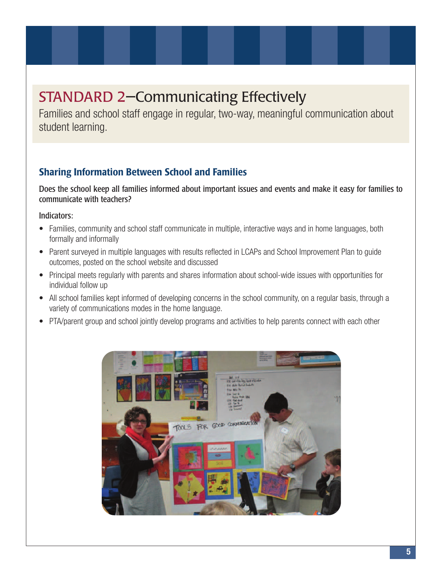# STANDARD 2—Communicating Effectively

Families and school staff engage in regular, two-way, meaningful communication about student learning.

### **Sharing Information Between School and Families**

Does the school keep all families informed about important issues and events and make it easy for families to communicate with teachers?

- Families, community and school staff communicate in multiple, interactive ways and in home languages, both formally and informally
- Parent surveyed in multiple languages with results reflected in LCAPs and School Improvement Plan to guide outcomes, posted on the school website and discussed
- Principal meets regularly with parents and shares information about school-wide issues with opportunities for individual follow up
- All school families kept informed of developing concerns in the school community, on a regular basis, through a variety of communications modes in the home language.
- PTA/parent group and school jointly develop programs and activities to help parents connect with each other

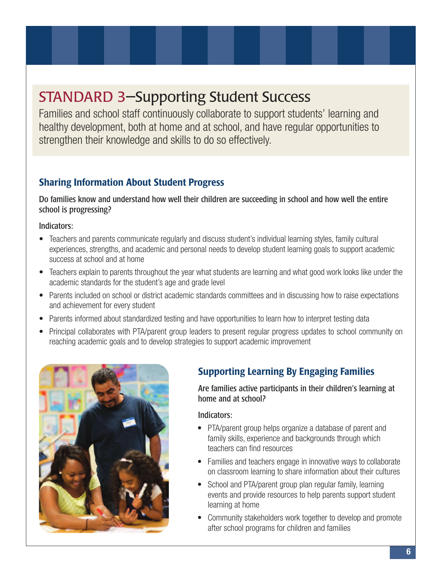# STANDARD 3—Supporting Student Success

Families and school staff continuously collaborate to support students' learning and healthy development, both at home and at school, and have regular opportunities to strengthen their knowledge and skills to do so effectively.

## **Sharing Information About Student Progress**

Do families know and understand how well their children are succeeding in school and how well the entire school is progressing?

Indicators:

- Teachers and parents communicate regularly and discuss student's individual learning styles, family cultural experiences, strengths, and academic and personal needs to develop student learning goals to support academic success at school and at home
- Teachers explain to parents throughout the year what students are learning and what good work looks like under the academic standards for the student's age and grade level
- Parents included on school or district academic standards committees and in discussing how to raise expectations and achievement for every student
- Parents informed about standardized testing and have opportunities to learn how to interpret testing data
- Principal collaborates with PTA/parent group leaders to present regular progress updates to school community on reaching academic goals and to develop strategies to support academic improvement



# **Supporting Learning By Engaging Families**

Are families active participants in their children's learning at home and at school?

- PTA/parent group helps organize a database of parent and family skills, experience and backgrounds through which teachers can find resources
- Families and teachers engage in innovative ways to collaborate on classroom learning to share information about their cultures
- School and PTA/parent group plan regular family, learning events and provide resources to help parents support student learning at home
- Community stakeholders work together to develop and promote after school programs for children and families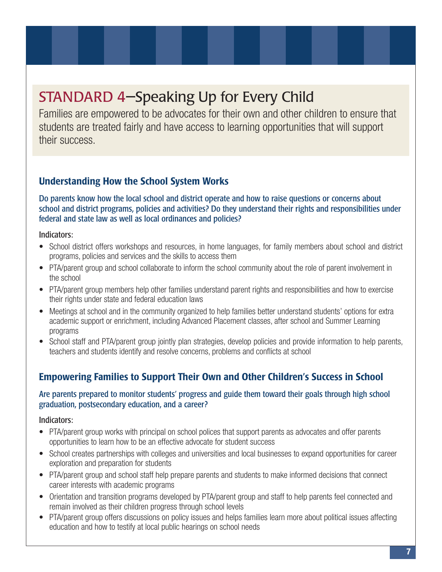# STANDARD 4—Speaking Up for Every Child

Families are empowered to be advocates for their own and other children to ensure that students are treated fairly and have access to learning opportunities that will support their success.

### **Understanding How the School System Works**

Do parents know how the local school and district operate and how to raise questions or concerns about school and district programs, policies and activities? Do they understand their rights and responsibilities under federal and state law as well as local ordinances and policies?

Indicators:

- School district offers workshops and resources, in home languages, for family members about school and district programs, policies and services and the skills to access them
- PTA/parent group and school collaborate to inform the school community about the role of parent involvement in the school
- PTA/parent group members help other families understand parent rights and responsibilities and how to exercise their rights under state and federal education laws
- Meetings at school and in the community organized to help families better understand students' options for extra academic support or enrichment, including Advanced Placement classes, after school and Summer Learning programs
- School staff and PTA/parent group jointly plan strategies, develop policies and provide information to help parents, teachers and students identify and resolve concerns, problems and conflicts at school

### **Empowering Families to Support Their Own and Other Children's Success in School**

#### Are parents prepared to monitor students' progress and guide them toward their goals through high school graduation, postsecondary education, and a career?

- PTA/parent group works with principal on school polices that support parents as advocates and offer parents opportunities to learn how to be an effective advocate for student success
- School creates partnerships with colleges and universities and local businesses to expand opportunities for career exploration and preparation for students
- PTA/parent group and school staff help prepare parents and students to make informed decisions that connect career interests with academic programs
- Orientation and transition programs developed by PTA/parent group and staff to help parents feel connected and remain involved as their children progress through school levels
- PTA/parent group offers discussions on policy issues and helps families learn more about political issues affecting education and how to testify at local public hearings on school needs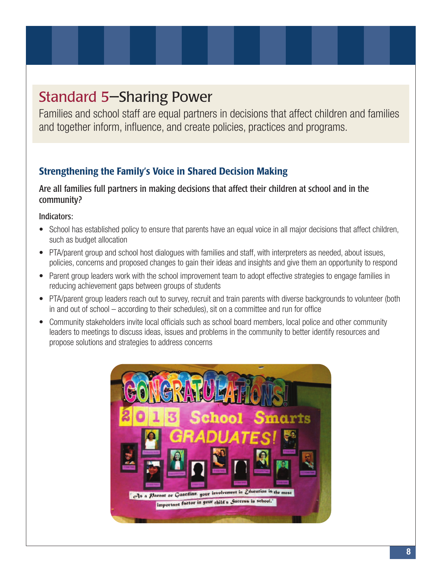# Standard 5—Sharing Power

Families and school staff are equal partners in decisions that affect children and families and together inform, influence, and create policies, practices and programs.

## **Strengthening the Family's Voice in Shared Decision Making**

#### Are all families full partners in making decisions that affect their children at school and in the community?

- School has established policy to ensure that parents have an equal voice in all major decisions that affect children, such as budget allocation
- PTA/parent group and school host dialogues with families and staff, with interpreters as needed, about issues, policies, concerns and proposed changes to gain their ideas and insights and give them an opportunity to respond
- Parent group leaders work with the school improvement team to adopt effective strategies to engage families in reducing achievement gaps between groups of students
- PTA/parent group leaders reach out to survey, recruit and train parents with diverse backgrounds to volunteer (both in and out of school – according to their schedules), sit on a committee and run for office
- Community stakeholders invite local officials such as school board members, local police and other community leaders to meetings to discuss ideas, issues and problems in the community to better identify resources and propose solutions and strategies to address concerns

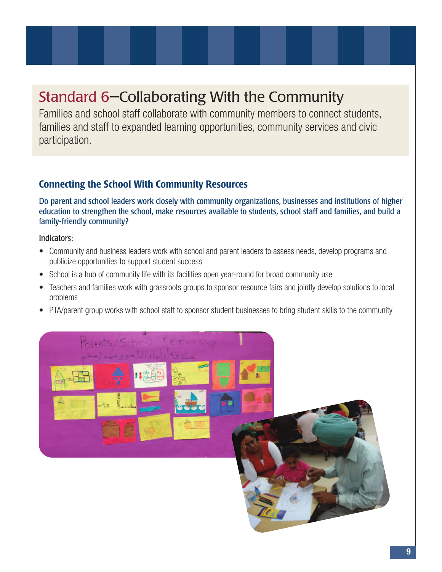# Standard 6—Collaborating With the Community

Families and school staff collaborate with community members to connect students, families and staff to expanded learning opportunities, community services and civic participation.

### **Connecting the School With Community Resources**

Do parent and school leaders work closely with community organizations, businesses and institutions of higher education to strengthen the school, make resources available to students, school staff and families, and build a family-friendly community?

- Community and business leaders work with school and parent leaders to assess needs, develop programs and publicize opportunities to support student success
- School is a hub of community life with its facilities open year-round for broad community use
- Teachers and families work with grassroots groups to sponsor resource fairs and jointly develop solutions to local problems
- PTA/parent group works with school staff to sponsor student businesses to bring student skills to the community